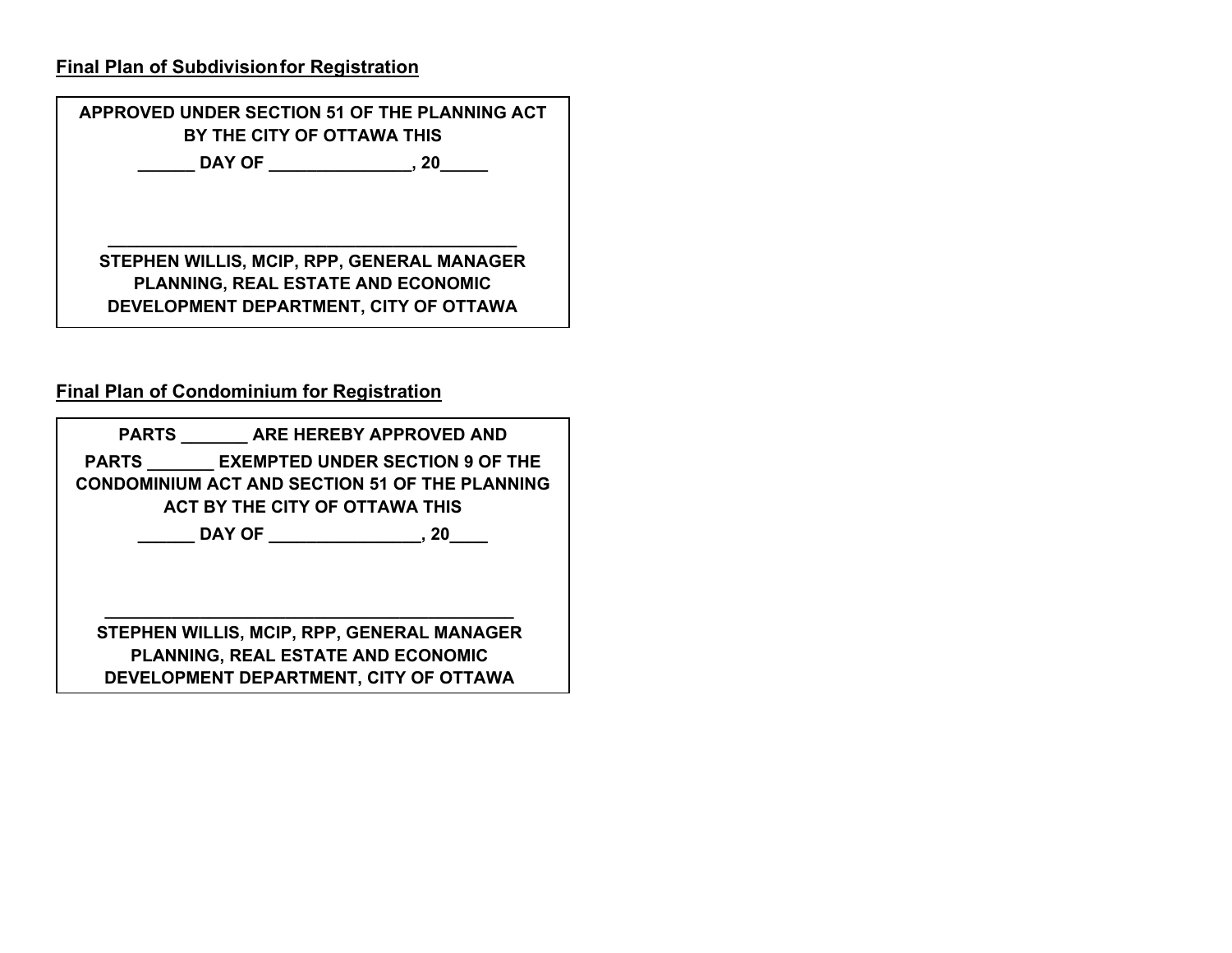## **Final Plan of Subdivisionfor Registration**

| APPROVED UNDER SECTION 51 OF THE PLANNING ACT<br>BY THE CITY OF OTTAWA THIS |    |
|-----------------------------------------------------------------------------|----|
| DAY OF <b>Example 2</b>                                                     | 20 |
|                                                                             |    |
|                                                                             |    |
| STEPHEN WILLIS, MCIP, RPP, GENERAL MANAGER                                  |    |
| PLANNING, REAL ESTATE AND ECONOMIC                                          |    |
| DEVELOPMENT DEPARTMENT, CITY OF OTTAWA                                      |    |
|                                                                             |    |

## **Final Plan of Condominium for Registration**

|  | PARTS ARE HEREBY APPROVED AND                                                                                                           |
|--|-----------------------------------------------------------------------------------------------------------------------------------------|
|  | <b>PARTS EXEMPTED UNDER SECTION 9 OF THE</b><br><b>CONDOMINIUM ACT AND SECTION 51 OF THE PLANNING</b><br>ACT BY THE CITY OF OTTAWA THIS |
|  | 20                                                                                                                                      |
|  |                                                                                                                                         |
|  |                                                                                                                                         |
|  | STEPHEN WILLIS, MCIP, RPP, GENERAL MANAGER<br>PLANNING, REAL ESTATE AND ECONOMIC                                                        |
|  | DEVELOPMENT DEPARTMENT, CITY OF OTTAWA                                                                                                  |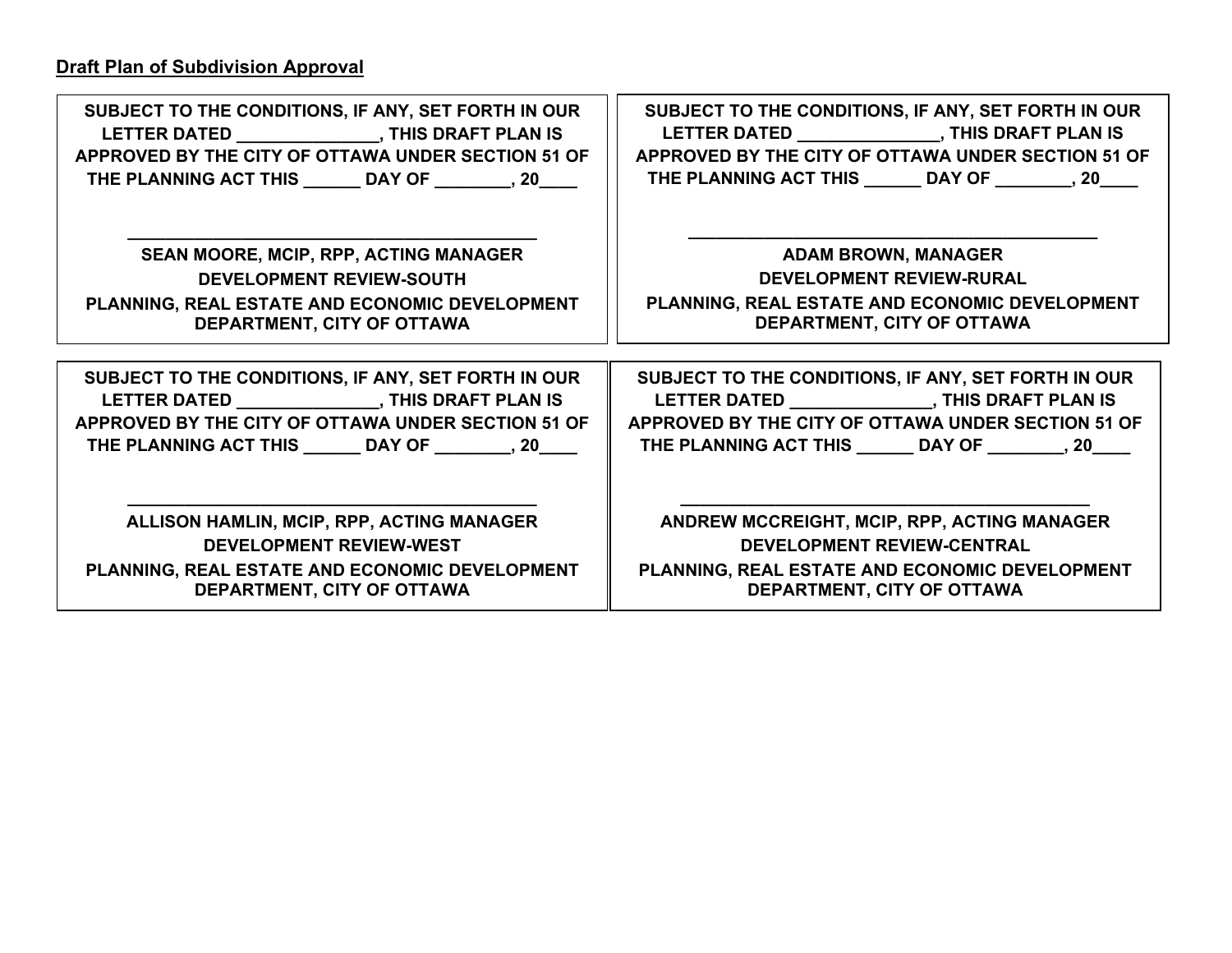| SUBJECT TO THE CONDITIONS, IF ANY, SET FORTH IN OUR    | SUBJECT TO THE CONDITIONS, IF ANY, SET FORTH IN OUR   |
|--------------------------------------------------------|-------------------------------------------------------|
| LETTER DATED THIS DRAFT PLAN IS                        |                                                       |
| APPROVED BY THE CITY OF OTTAWA UNDER SECTION 51 OF     | APPROVED BY THE CITY OF OTTAWA UNDER SECTION 51 OF    |
| THE PLANNING ACT THIS ______ DAY OF ________, 20____   | THE PLANNING ACT THIS ______ DAY OF ________, 20____  |
| <b>SEAN MOORE, MCIP, RPP, ACTING MANAGER</b>           | <b>ADAM BROWN, MANAGER</b>                            |
| <b>DEVELOPMENT REVIEW-SOUTH</b>                        | <b>DEVELOPMENT REVIEW-RURAL</b>                       |
| PLANNING, REAL ESTATE AND ECONOMIC DEVELOPMENT         | PLANNING, REAL ESTATE AND ECONOMIC DEVELOPMENT        |
| DEPARTMENT, CITY OF OTTAWA                             | DEPARTMENT, CITY OF OTTAWA                            |
|                                                        |                                                       |
| SUBJECT TO THE CONDITIONS, IF ANY, SET FORTH IN OUR    | SUBJECT TO THE CONDITIONS, IF ANY, SET FORTH IN OUR   |
|                                                        |                                                       |
| APPROVED BY THE CITY OF OTTAWA UNDER SECTION 51 OF     | APPROVED BY THE CITY OF OTTAWA UNDER SECTION 51 OF    |
| THE PLANNING ACT THIS _______ DAY OF ________, 20_____ | THE PLANNING ACT THIS _______ DAY OF ________, 20____ |
| ALLISON HAMLIN, MCIP, RPP, ACTING MANAGER              | ANDREW MCCREIGHT, MCIP, RPP, ACTING MANAGER           |
| <b>DEVELOPMENT REVIEW-WEST</b>                         | <b>DEVELOPMENT REVIEW-CENTRAL</b>                     |
| PLANNING, REAL ESTATE AND ECONOMIC DEVELOPMENT         | PLANNING, REAL ESTATE AND ECONOMIC DEVELOPMENT        |
| DEPARTMENT, CITY OF OTTAWA                             | DEPARTMENT, CITY OF OTTAWA                            |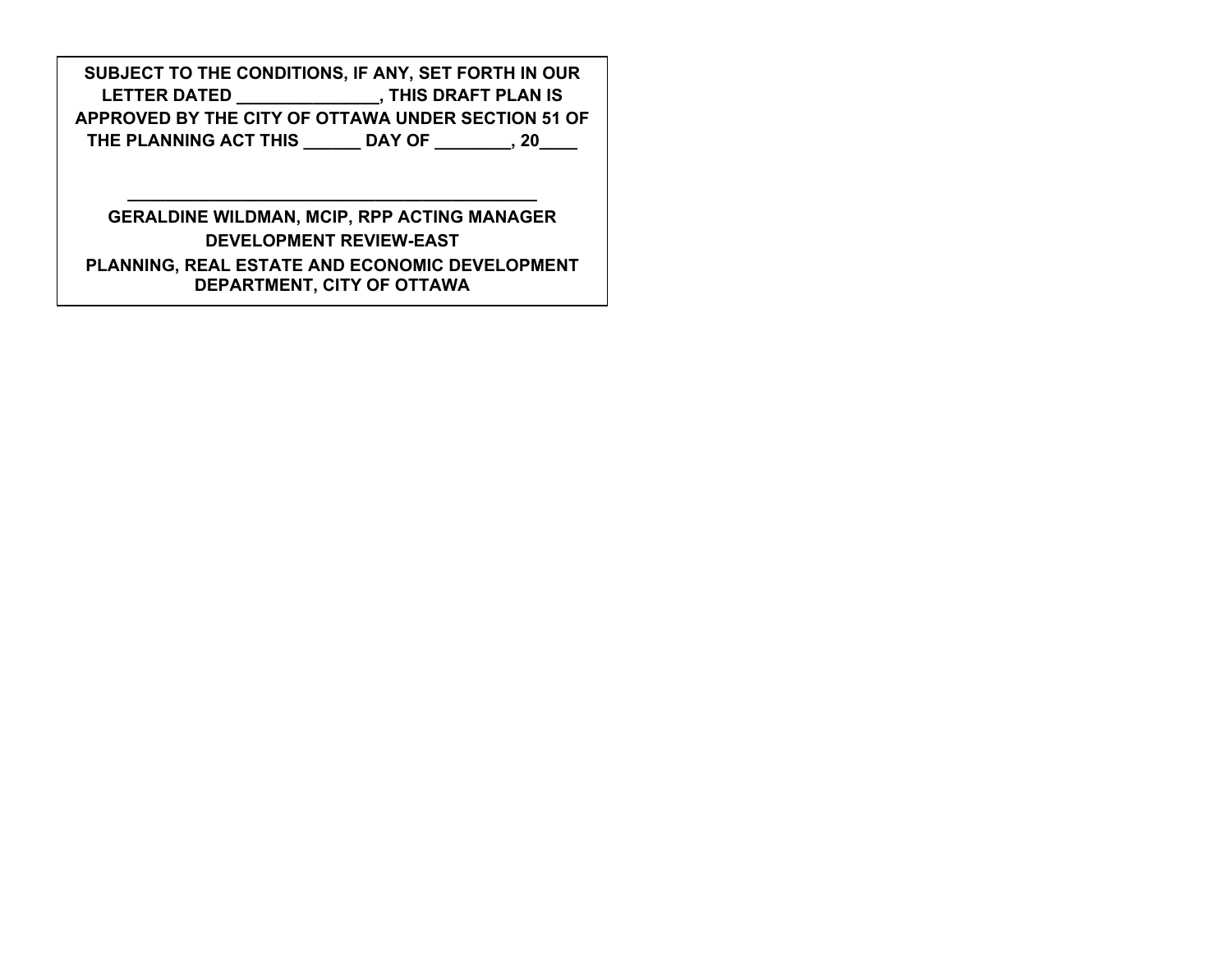**SUBJECT TO THE CONDITIONS, IF ANY, SET FORTH IN OUR LETTER DATED \_\_\_\_\_\_\_\_\_\_\_\_\_\_\_, THIS DRAFT PLAN IS APPROVED BY THE CITY OF OTTAWA UNDER SECTION 51 OF THE PLANNING ACT THIS \_\_\_\_\_\_ DAY OF \_\_\_\_\_\_\_\_, 20\_\_\_\_** 

**GERALDINE WILDMAN, MCIP, RPP ACTING MANAGER DEVELOPMENT REVIEW-EAST PLANNING, REAL ESTATE AND ECONOMIC DEVELOPMENT DEPARTMENT, CITY OF OTTAWA** 

**\_\_\_\_\_\_\_\_\_\_\_\_\_\_\_\_\_\_\_\_\_\_\_\_\_\_\_\_\_\_\_\_\_\_\_\_\_\_\_\_\_\_\_**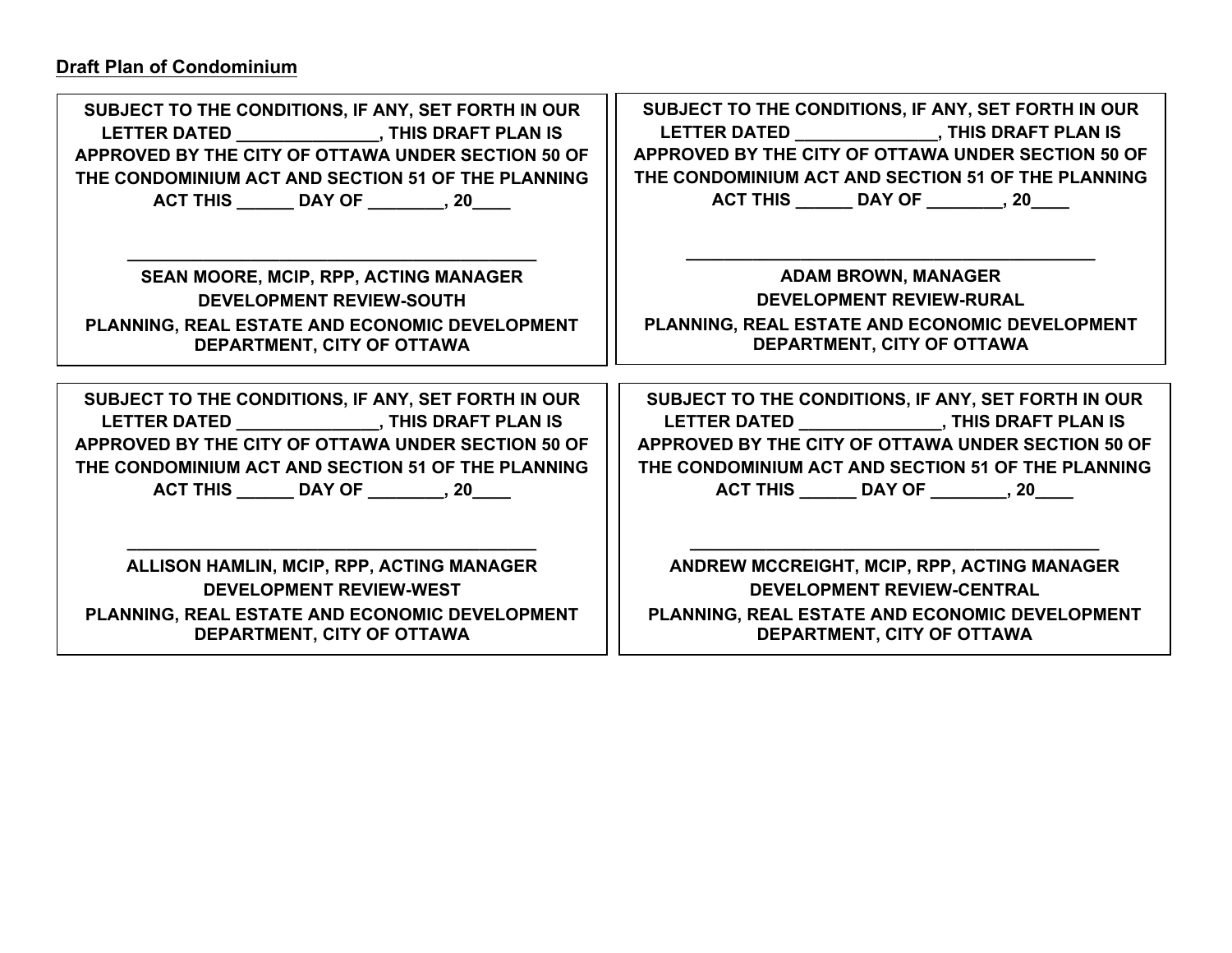## **Draft Plan of Condominium**

| SUBJECT TO THE CONDITIONS, IF ANY, SET FORTH IN OUR | SUBJECT TO THE CONDITIONS, IF ANY, SET FORTH IN OUR |
|-----------------------------------------------------|-----------------------------------------------------|
|                                                     |                                                     |
| APPROVED BY THE CITY OF OTTAWA UNDER SECTION 50 OF  | APPROVED BY THE CITY OF OTTAWA UNDER SECTION 50 OF  |
| THE CONDOMINIUM ACT AND SECTION 51 OF THE PLANNING  | THE CONDOMINIUM ACT AND SECTION 51 OF THE PLANNING  |
| ACT THIS ________ DAY OF _________, 20_____         | ACT THIS _______ DAY OF _________, 20____           |
| SEAN MOORE, MCIP, RPP, ACTING MANAGER               | <b>ADAM BROWN, MANAGER</b>                          |
| <b>DEVELOPMENT REVIEW-SOUTH</b>                     | <b>DEVELOPMENT REVIEW-RURAL</b>                     |
| PLANNING, REAL ESTATE AND ECONOMIC DEVELOPMENT      | PLANNING, REAL ESTATE AND ECONOMIC DEVELOPMENT      |
| DEPARTMENT, CITY OF OTTAWA                          | DEPARTMENT, CITY OF OTTAWA                          |
| SUBJECT TO THE CONDITIONS, IF ANY, SET FORTH IN OUR | SUBJECT TO THE CONDITIONS, IF ANY, SET FORTH IN OUR |
| LETTER DATED ________________, THIS DRAFT PLAN IS   |                                                     |
| APPROVED BY THE CITY OF OTTAWA UNDER SECTION 50 OF  | APPROVED BY THE CITY OF OTTAWA UNDER SECTION 50 OF  |
| THE CONDOMINIUM ACT AND SECTION 51 OF THE PLANNING  | THE CONDOMINIUM ACT AND SECTION 51 OF THE PLANNING  |
| ACT THIS _______ DAY OF _________, 20____           | ACT THIS _______ DAY OF _________, 20____           |
| ALLISON HAMLIN, MCIP, RPP, ACTING MANAGER           | ANDREW MCCREIGHT, MCIP, RPP, ACTING MANAGER         |
| <b>DEVELOPMENT REVIEW-WEST</b>                      | <b>DEVELOPMENT REVIEW-CENTRAL</b>                   |
| PLANNING, REAL ESTATE AND ECONOMIC DEVELOPMENT      | PLANNING, REAL ESTATE AND ECONOMIC DEVELOPMENT      |
| DEPARTMENT, CITY OF OTTAWA                          | DEPARTMENT, CITY OF OTTAWA                          |